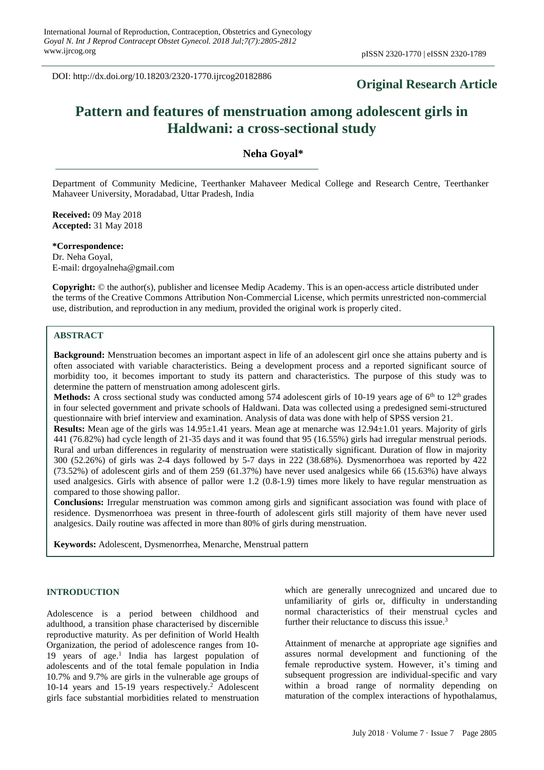DOI: http://dx.doi.org/10.18203/2320-1770.ijrcog20182886

## **Original Research Article**

# **Pattern and features of menstruation among adolescent girls in Haldwani: a cross-sectional study**

## **Neha Goyal\***

Department of Community Medicine, Teerthanker Mahaveer Medical College and Research Centre, Teerthanker Mahaveer University, Moradabad, Uttar Pradesh, India

**Received:** 09 May 2018 **Accepted:** 31 May 2018

**\*Correspondence:** Dr. Neha Goyal, E-mail: drgoyalneha@gmail.com

**Copyright:** © the author(s), publisher and licensee Medip Academy. This is an open-access article distributed under the terms of the Creative Commons Attribution Non-Commercial License, which permits unrestricted non-commercial use, distribution, and reproduction in any medium, provided the original work is properly cited.

## **ABSTRACT**

**Background:** Menstruation becomes an important aspect in life of an adolescent girl once she attains puberty and is often associated with variable characteristics. Being a development process and a reported significant source of morbidity too, it becomes important to study its pattern and characteristics. The purpose of this study was to determine the pattern of menstruation among adolescent girls.

**Methods:** A cross sectional study was conducted among 574 adolescent girls of 10-19 years age of  $6<sup>th</sup>$  to  $12<sup>th</sup>$  grades in four selected government and private schools of Haldwani. Data was collected using a predesigned semi-structured questionnaire with brief interview and examination. Analysis of data was done with help of SPSS version 21.

**Results:** Mean age of the girls was 14.95±1.41 years. Mean age at menarche was 12.94±1.01 years. Majority of girls 441 (76.82%) had cycle length of 21-35 days and it was found that 95 (16.55%) girls had irregular menstrual periods. Rural and urban differences in regularity of menstruation were statistically significant. Duration of flow in majority 300 (52.26%) of girls was 2-4 days followed by 5-7 days in 222 (38.68%). Dysmenorrhoea was reported by 422 (73.52%) of adolescent girls and of them 259 (61.37%) have never used analgesics while 66 (15.63%) have always used analgesics. Girls with absence of pallor were 1.2 (0.8-1.9) times more likely to have regular menstruation as compared to those showing pallor.

**Conclusions:** Irregular menstruation was common among girls and significant association was found with place of residence. Dysmenorrhoea was present in three-fourth of adolescent girls still majority of them have never used analgesics. Daily routine was affected in more than 80% of girls during menstruation.

**Keywords:** Adolescent, Dysmenorrhea, Menarche, Menstrual pattern

#### **INTRODUCTION**

Adolescence is a period between childhood and adulthood, a transition phase characterised by discernible reproductive maturity. As per definition of World Health Organization, the period of adolescence ranges from 10- 19 years of age.<sup>1</sup> India has largest population of adolescents and of the total female population in India 10.7% and 9.7% are girls in the vulnerable age groups of 10-14 years and 15-19 years respectively.<sup>2</sup> Adolescent girls face substantial morbidities related to menstruation which are generally unrecognized and uncared due to unfamiliarity of girls or, difficulty in understanding normal characteristics of their menstrual cycles and further their reluctance to discuss this issue.<sup>3</sup>

Attainment of menarche at appropriate age signifies and assures normal development and functioning of the female reproductive system. However, it's timing and subsequent progression are individual-specific and vary within a broad range of normality depending on maturation of the complex interactions of hypothalamus,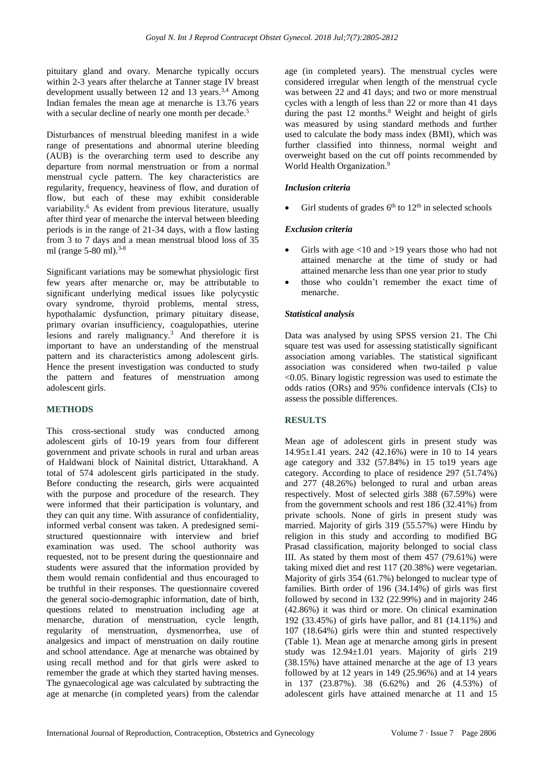pituitary gland and ovary. Menarche typically occurs within 2-3 years after thelarche at Tanner stage IV breast development usually between 12 and 13 years.<sup>3,4</sup> Among Indian females the mean age at menarche is 13.76 years with a secular decline of nearly one month per decade.<sup>5</sup>

Disturbances of menstrual bleeding manifest in a wide range of presentations and abnormal uterine bleeding (AUB) is the overarching term used to describe any departure from normal menstruation or from a normal menstrual cycle pattern. The key characteristics are regularity, frequency, heaviness of flow, and duration of flow, but each of these may exhibit considerable variability.<sup>6</sup> As evident from previous literature, usually after third year of menarche the interval between bleeding periods is in the range of 21-34 days, with a flow lasting from 3 to 7 days and a mean menstrual blood loss of 35 ml (range 5-80 ml).<sup>3-8</sup>

Significant variations may be somewhat physiologic first few years after menarche or, may be attributable to significant underlying medical issues like polycystic ovary syndrome, thyroid problems, mental stress, hypothalamic dysfunction, primary pituitary disease, primary ovarian insufficiency, coagulopathies, uterine lesions and rarely malignancy.<sup>3</sup> And therefore it is important to have an understanding of the menstrual pattern and its characteristics among adolescent girls. Hence the present investigation was conducted to study the pattern and features of menstruation among adolescent girls.

## **METHODS**

This cross-sectional study was conducted among adolescent girls of 10-19 years from four different government and private schools in rural and urban areas of Haldwani block of Nainital district, Uttarakhand. A total of 574 adolescent girls participated in the study. Before conducting the research, girls were acquainted with the purpose and procedure of the research. They were informed that their participation is voluntary, and they can quit any time. With assurance of confidentiality, informed verbal consent was taken. A predesigned semistructured questionnaire with interview and brief examination was used. The school authority was requested, not to be present during the questionnaire and students were assured that the information provided by them would remain confidential and thus encouraged to be truthful in their responses. The questionnaire covered the general socio-demographic information, date of birth, questions related to menstruation including age at menarche, duration of menstruation, cycle length, regularity of menstruation, dysmenorrhea, use of analgesics and impact of menstruation on daily routine and school attendance. Age at menarche was obtained by using recall method and for that girls were asked to remember the grade at which they started having menses. The gynaecological age was calculated by subtracting the age at menarche (in completed years) from the calendar age (in completed years). The menstrual cycles were considered irregular when length of the menstrual cycle was between 22 and 41 days; and two or more menstrual cycles with a length of less than 22 or more than 41 days during the past 12 months.<sup>8</sup> Weight and height of girls was measured by using standard methods and further used to calculate the body mass index (BMI), which was further classified into thinness, normal weight and overweight based on the cut off points recommended by World Health Organization.<sup>9</sup>

## *Inclusion criteria*

• Girl students of grades  $6<sup>th</sup>$  to  $12<sup>th</sup>$  in selected schools

## *Exclusion criteria*

- Girls with age  $\langle 10 \text{ and } 19 \rangle$  years those who had not attained menarche at the time of study or had attained menarche less than one year prior to study
- those who couldn't remember the exact time of menarche.

## *Statistical analysis*

Data was analysed by using SPSS version 21. The Chi square test was used for assessing statistically significant association among variables. The statistical significant association was considered when two-tailed p value <0.05. Binary logistic regression was used to estimate the odds ratios (ORs) and 95% confidence intervals (CIs) to assess the possible differences.

## **RESULTS**

Mean age of adolescent girls in present study was 14.95±1.41 years. 242 (42.16%) were in 10 to 14 years age category and 332 (57.84%) in 15 to19 years age category. According to place of residence 297 (51.74%) and 277 (48.26%) belonged to rural and urban areas respectively. Most of selected girls 388 (67.59%) were from the government schools and rest 186 (32.41%) from private schools. None of girls in present study was married. Majority of girls 319 (55.57%) were Hindu by religion in this study and according to modified BG Prasad classification, majority belonged to social class III. As stated by them most of them 457 (79.61%) were taking mixed diet and rest 117 (20.38%) were vegetarian. Majority of girls 354 (61.7%) belonged to nuclear type of families. Birth order of 196 (34.14%) of girls was first followed by second in 132 (22.99%) and in majority 246 (42.86%) it was third or more. On clinical examination 192 (33.45%) of girls have pallor, and 81 (14.11%) and 107 (18.64%) girls were thin and stunted respectively (Table 1). Mean age at menarche among girls in present study was 12.94±1.01 years. Majority of girls 219 (38.15%) have attained menarche at the age of 13 years followed by at 12 years in 149 (25.96%) and at 14 years in 137 (23.87%). 38 (6.62%) and 26 (4.53%) of adolescent girls have attained menarche at 11 and 15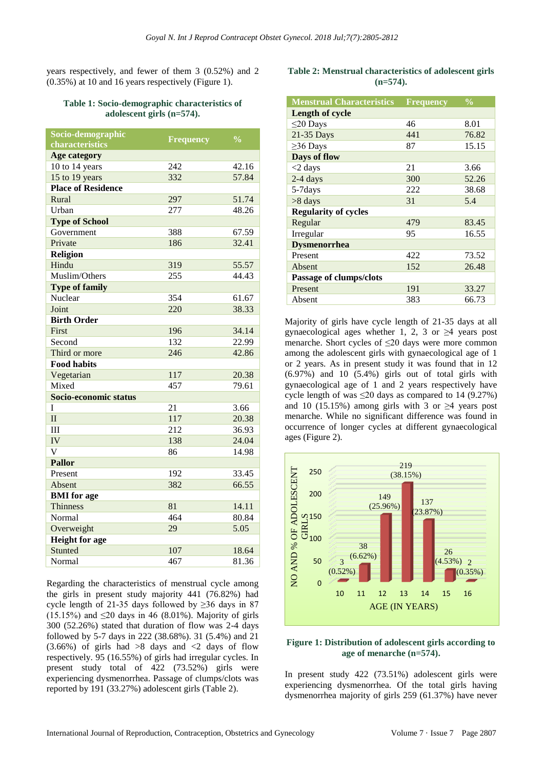years respectively, and fewer of them 3 (0.52%) and 2 (0.35%) at 10 and 16 years respectively (Figure 1).

#### **Table 1: Socio-demographic characteristics of adolescent girls (n=574).**

|     | $\frac{0}{0}$           |
|-----|-------------------------|
|     |                         |
|     |                         |
| 242 | 42.16                   |
|     | 57.84                   |
|     |                         |
| 297 | 51.74                   |
| 277 | 48.26                   |
|     |                         |
| 388 | 67.59                   |
| 186 | 32.41                   |
|     |                         |
| 319 | 55.57                   |
| 255 | 44.43                   |
|     |                         |
| 354 | 61.67                   |
| 220 | 38.33                   |
|     |                         |
| 196 | 34.14                   |
| 132 | 22.99                   |
| 246 | 42.86                   |
|     |                         |
| 117 | 20.38                   |
| 457 | 79.61                   |
|     |                         |
| 21  | 3.66                    |
| 117 | 20.38                   |
| 212 | 36.93                   |
| 138 | 24.04                   |
| 86  | 14.98                   |
|     |                         |
| 192 | 33.45                   |
| 382 | 66.55                   |
|     |                         |
| 81  | 14.11                   |
| 464 | 80.84                   |
| 29  | 5.05                    |
|     |                         |
| 107 | 18.64                   |
| 467 | 81.36                   |
|     | <b>Frequency</b><br>332 |

Regarding the characteristics of menstrual cycle among the girls in present study majority 441 (76.82%) had cycle length of 21-35 days followed by  $\geq$ 36 days in 87 (15.15%) and  $\leq$ 20 days in 46 (8.01%). Majority of girls 300 (52.26%) stated that duration of flow was 2-4 days followed by 5-7 days in 222 (38.68%). 31 (5.4%) and 21  $(3.66\%)$  of girls had  $>8$  days and  $<2$  days of flow respectively. 95 (16.55%) of girls had irregular cycles. In present study total of 422 (73.52%) girls were experiencing dysmenorrhea. Passage of clumps/clots was reported by 191 (33.27%) adolescent girls (Table 2).

## **Table 2: Menstrual characteristics of adolescent girls (n=574).**

| <b>Menstrual Characteristics</b> | <b>Frequency</b> | $\frac{0}{0}$ |
|----------------------------------|------------------|---------------|
| <b>Length of cycle</b>           |                  |               |
| $\leq$ 20 Days                   | 46               | 8.01          |
| 21-35 Days                       | 441              | 76.82         |
| $\geq$ 36 Days                   | 87               | 15.15         |
| Days of flow                     |                  |               |
| $<$ 2 days                       | 21               | 3.66          |
| 2-4 days                         | 300              | 52.26         |
| 5-7days                          | 222              | 38.68         |
| $>8$ days                        | 31               | 5.4           |
| <b>Regularity of cycles</b>      |                  |               |
| Regular                          | 479              | 83.45         |
| Irregular                        | 95               | 16.55         |
| <b>Dysmenorrhea</b>              |                  |               |
| Present                          | 422              | 73.52         |
| Absent                           | 152              | 26.48         |
| Passage of clumps/clots          |                  |               |
| Present                          | 191              | 33.27         |
| Absent                           | 383              | 66.73         |

Majority of girls have cycle length of 21-35 days at all gynaecological ages whether 1, 2, 3 or  $\geq 4$  years post menarche. Short cycles of  $\leq 20$  days were more common among the adolescent girls with gynaecological age of 1 or 2 years. As in present study it was found that in 12 (6.97%) and 10 (5.4%) girls out of total girls with gynaecological age of 1 and 2 years respectively have cycle length of was  $\leq 20$  days as compared to 14 (9.27%) and 10 (15.15%) among girls with 3 or  $\geq 4$  years post menarche. While no significant difference was found in occurrence of longer cycles at different gynaecological ages (Figure 2).



#### **Figure 1: Distribution of adolescent girls according to age of menarche (n=574).**

In present study 422 (73.51%) adolescent girls were experiencing dysmenorrhea. Of the total girls having dysmenorrhea majority of girls 259 (61.37%) have never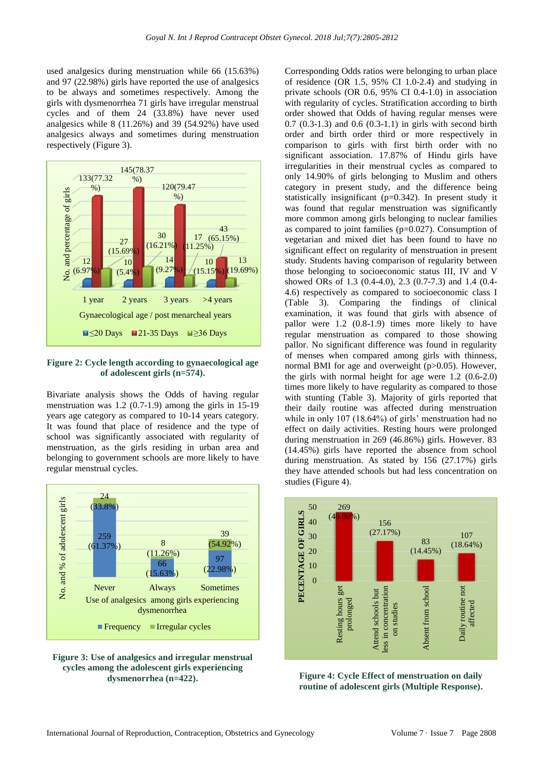used analgesics during menstruation while 66 (15.63%) and 97 (22.98%) girls have reported the use of analgesics to be always and sometimes respectively. Among the girls with dysmenorrhea 71 girls have irregular menstrual cycles and of them 24 (33.8%) have never used analgesics while 8 (11.26%) and 39 (54.92%) have used analgesics always and sometimes during menstruation respectively (Figure 3).



**Figure 2: Cycle length according to gynaecological age of adolescent girls (n=574).**

Bivariate analysis shows the Odds of having regular menstruation was 1.2 (0.7-1.9) among the girls in 15-19 years age category as compared to 10-14 years category. It was found that place of residence and the type of school was significantly associated with regularity of menstruation, as the girls residing in urban area and belonging to government schools are more likely to have regular menstrual cycles.



**Figure 3: Use of analgesics and irregular menstrual cycles among the adolescent girls experiencing dysmenorrhea (n=422).**

Corresponding Odds ratios were belonging to urban place of residence (OR 1.5, 95% CI 1.0-2.4) and studying in private schools (OR 0.6, 95% CI 0.4-1.0) in association with regularity of cycles. Stratification according to birth order showed that Odds of having regular menses were 0.7 (0.3-1.3) and 0.6 (0.3-1.1) in girls with second birth order and birth order third or more respectively in comparison to girls with first birth order with no significant association. 17.87% of Hindu girls have irregularities in their menstrual cycles as compared to only 14.90% of girls belonging to Muslim and others category in present study, and the difference being statistically insignificant (p=0.342). In present study it was found that regular menstruation was significantly more common among girls belonging to nuclear families as compared to joint families (p=0.027). Consumption of vegetarian and mixed diet has been found to have no significant effect on regularity of menstruation in present study. Students having comparison of regularity between those belonging to socioeconomic status III, IV and V showed ORs of 1.3 (0.4-4.0), 2.3 (0.7-7.3) and 1.4 (0.4- 4.6) respectively as compared to socioeconomic class I (Table 3). Comparing the findings of clinical examination, it was found that girls with absence of pallor were 1.2 (0.8-1.9) times more likely to have regular menstruation as compared to those showing pallor. No significant difference was found in regularity of menses when compared among girls with thinness, normal BMI for age and overweight (p>0.05). However, the girls with normal height for age were 1.2 (0.6-2.0) times more likely to have regularity as compared to those with stunting (Table 3). Majority of girls reported that their daily routine was affected during menstruation while in only 107 (18.64%) of girls' menstruation had no effect on daily activities. Resting hours were prolonged during menstruation in 269 (46.86%) girls. However. 83 (14.45%) girls have reported the absence from school during menstruation. As stated by 156 (27.17%) girls they have attended schools but had less concentration on studies (Figure 4).



**Figure 4: Cycle Effect of menstruation on daily routine of adolescent girls (Multiple Response).**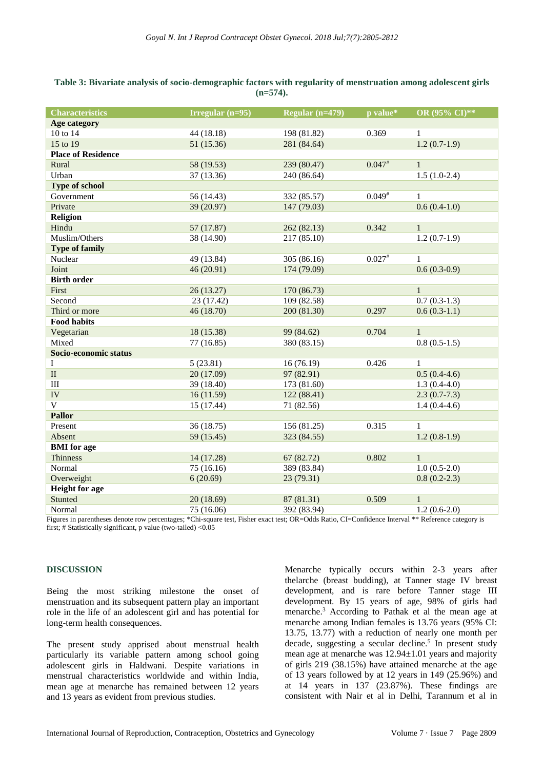#### **Table 3: Bivariate analysis of socio-demographic factors with regularity of menstruation among adolescent girls (n=574).**

Figures in parentheses denote row percentages; \*Chi-square test, Fisher exact test; OR=Odds Ratio, CI=Confidence Interval \*\* Reference category is first; # Statistically significant, p value (two-tailed) <0.05

#### **DISCUSSION**

Being the most striking milestone the onset of menstruation and its subsequent pattern play an important role in the life of an adolescent girl and has potential for long-term health consequences.

The present study apprised about menstrual health particularly its variable pattern among school going adolescent girls in Haldwani. Despite variations in menstrual characteristics worldwide and within India, mean age at menarche has remained between 12 years and 13 years as evident from previous studies.

Menarche typically occurs within 2-3 years after thelarche (breast budding), at Tanner stage IV breast development, and is rare before Tanner stage III development. By 15 years of age, 98% of girls had menarche.<sup>3</sup> According to Pathak et al the mean age at menarche among Indian females is 13.76 years (95% CI: 13.75, 13.77) with a reduction of nearly one month per decade, suggesting a secular decline.<sup>5</sup> In present study mean age at menarche was 12.94±1.01 years and majority of girls 219 (38.15%) have attained menarche at the age of 13 years followed by at 12 years in 149 (25.96%) and at 14 years in 137 (23.87%). These findings are consistent with Nair et al in Delhi, Tarannum et al in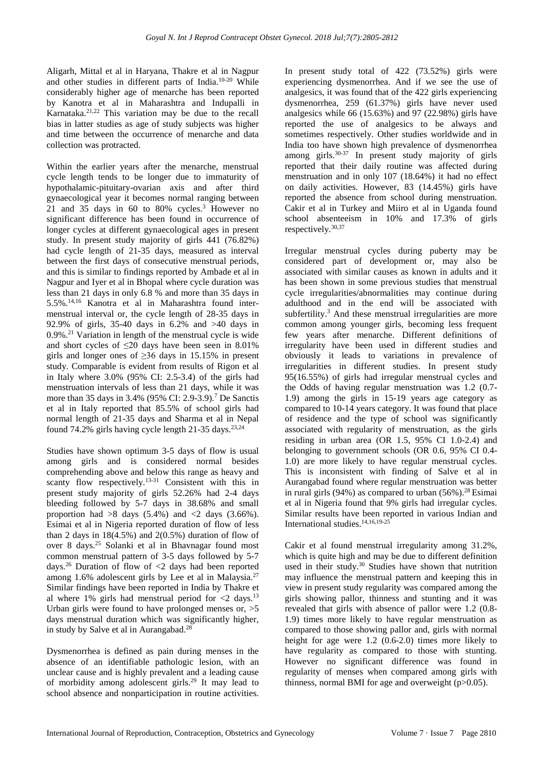Aligarh, Mittal et al in Haryana, Thakre et al in Nagpur and other studies in different parts of India.10-20 While considerably higher age of menarche has been reported by Kanotra et al in Maharashtra and Indupalli in Karnataka.21,22 This variation may be due to the recall bias in latter studies as age of study subjects was higher and time between the occurrence of menarche and data collection was protracted.

Within the earlier years after the menarche, menstrual cycle length tends to be longer due to immaturity of hypothalamic-pituitary-ovarian axis and after third gynaecological year it becomes normal ranging between 21 and 35 days in 60 to 80% cycles.<sup>3</sup> However no significant difference has been found in occurrence of longer cycles at different gynaecological ages in present study. In present study majority of girls 441 (76.82%) had cycle length of 21-35 days, measured as interval between the first days of consecutive menstrual periods, and this is similar to findings reported by Ambade et al in Nagpur and Iyer et al in Bhopal where cycle duration was less than 21 days in only 6.8 % and more than 35 days in 5.5%.14,16 Kanotra et al in Maharashtra found intermenstrual interval or, the cycle length of 28-35 days in 92.9% of girls, 35-40 days in 6.2% and >40 days in 0.9%.<sup>21</sup> Variation in length of the menstrual cycle is wide and short cycles of  $\leq 20$  days have been seen in 8.01% girls and longer ones of  $\geq$ 36 days in 15.15% in present study. Comparable is evident from results of Rigon et al in Italy where 3.0% (95% CI: 2.5-3.4) of the girls had menstruation intervals of less than 21 days, while it was more than 35 days in 3.4% (95% CI: 2.9-3.9).<sup>7</sup> De Sanctis et al in Italy reported that 85.5% of school girls had normal length of 21-35 days and Sharma et al in Nepal found 74.2% girls having cycle length 21-35 days. $23,24$ 

Studies have shown optimum 3-5 days of flow is usual among girls and is considered normal besides comprehending above and below this range as heavy and scanty flow respectively.<sup>13-31</sup> Consistent with this in present study majority of girls 52.26% had 2-4 days bleeding followed by 5-7 days in 38.68% and small proportion had  $>8$  days  $(5.4\%)$  and  $<2$  days  $(3.66\%).$ Esimai et al in Nigeria reported duration of flow of less than 2 days in  $18(4.5\%)$  and  $2(0.5\%)$  duration of flow of over 8 days.<sup>25</sup> Solanki et al in Bhavnagar found most common menstrual pattern of 3-5 days followed by 5-7 days.<sup>26</sup> Duration of flow of  $\langle 2 \rangle$  days had been reported among 1.6% adolescent girls by Lee et al in Malaysia.<sup>27</sup> Similar findings have been reported in India by Thakre et al where 1% girls had menstrual period for  $\langle 2 \rangle$  days.<sup>13</sup> Urban girls were found to have prolonged menses or, >5 days menstrual duration which was significantly higher, in study by Salve et al in Aurangabad.<sup>28</sup>

Dysmenorrhea is defined as pain during menses in the absence of an identifiable pathologic lesion, with an unclear cause and is highly prevalent and a leading cause of morbidity among adolescent girls.<sup>29</sup> It may lead to school absence and nonparticipation in routine activities.

In present study total of 422 (73.52%) girls were experiencing dysmenorrhea. And if we see the use of analgesics, it was found that of the 422 girls experiencing dysmenorrhea, 259 (61.37%) girls have never used analgesics while 66 (15.63%) and 97 (22.98%) girls have reported the use of analgesics to be always and sometimes respectively. Other studies worldwide and in India too have shown high prevalence of dysmenorrhea among girls. $30-37$  In present study majority of girls reported that their daily routine was affected during menstruation and in only 107 (18.64%) it had no effect on daily activities. However, 83 (14.45%) girls have reported the absence from school during menstruation. Cakir et al in Turkey and Miiro et al in Uganda found school absenteeism in 10% and 17.3% of girls respectively.30,37

Irregular menstrual cycles during puberty may be considered part of development or, may also be associated with similar causes as known in adults and it has been shown in some previous studies that menstrual cycle irregularities/abnormalities may continue during adulthood and in the end will be associated with subfertility.<sup>3</sup> And these menstrual irregularities are more common among younger girls, becoming less frequent few years after menarche. Different definitions of irregularity have been used in different studies and obviously it leads to variations in prevalence of irregularities in different studies. In present study 95(16.55%) of girls had irregular menstrual cycles and the Odds of having regular menstruation was 1.2 (0.7- 1.9) among the girls in 15-19 years age category as compared to 10-14 years category. It was found that place of residence and the type of school was significantly associated with regularity of menstruation, as the girls residing in urban area (OR 1.5, 95% CI 1.0-2.4) and belonging to government schools (OR 0.6, 95% CI 0.4- 1.0) are more likely to have regular menstrual cycles. This is inconsistent with finding of Salve et al in Aurangabad found where regular menstruation was better in rural girls  $(94%)$  as compared to urban  $(56%)$ .<sup>28</sup> Esimai et al in Nigeria found that 9% girls had irregular cycles. Similar results have been reported in various Indian and International studies.14,16,19-25

Cakir et al found menstrual irregularity among 31.2%, which is quite high and may be due to different definition used in their study.<sup>30</sup> Studies have shown that nutrition may influence the menstrual pattern and keeping this in view in present study regularity was compared among the girls showing pallor, thinness and stunting and it was revealed that girls with absence of pallor were 1.2 (0.8- 1.9) times more likely to have regular menstruation as compared to those showing pallor and, girls with normal height for age were 1.2 (0.6-2.0) times more likely to have regularity as compared to those with stunting. However no significant difference was found in regularity of menses when compared among girls with thinness, normal BMI for age and overweight  $(p>0.05)$ .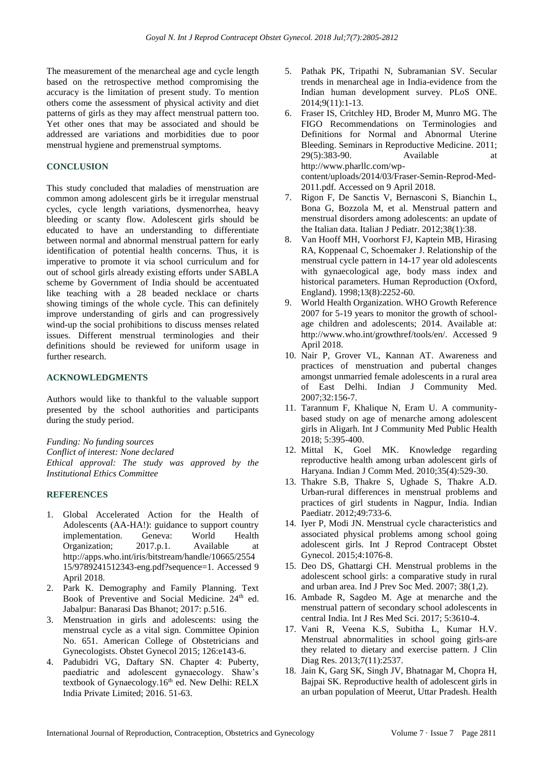The measurement of the menarcheal age and cycle length based on the retrospective method compromising the accuracy is the limitation of present study. To mention others come the assessment of physical activity and diet patterns of girls as they may affect menstrual pattern too. Yet other ones that may be associated and should be addressed are variations and morbidities due to poor menstrual hygiene and premenstrual symptoms.

#### **CONCLUSION**

This study concluded that maladies of menstruation are common among adolescent girls be it irregular menstrual cycles, cycle length variations, dysmenorrhea, heavy bleeding or scanty flow. Adolescent girls should be educated to have an understanding to differentiate between normal and abnormal menstrual pattern for early identification of potential health concerns. Thus, it is imperative to promote it via school curriculum and for out of school girls already existing efforts under SABLA scheme by Government of India should be accentuated like teaching with a 28 beaded necklace or charts showing timings of the whole cycle. This can definitely improve understanding of girls and can progressively wind-up the social prohibitions to discuss menses related issues. Different menstrual terminologies and their definitions should be reviewed for uniform usage in further research.

## **ACKNOWLEDGMENTS**

Authors would like to thankful to the valuable support presented by the school authorities and participants during the study period.

*Funding: No funding sources Conflict of interest: None declared Ethical approval: The study was approved by the Institutional Ethics Committee*

#### **REFERENCES**

- 1. Global Accelerated Action for the Health of Adolescents (AA-HA!): guidance to support country implementation. Geneva: World Health Organization; 2017.p.1. Available at http://apps.who.int/iris/bitstream/handle/10665/2554 15/9789241512343-eng.pdf?sequence=1. Accessed 9 April 2018.
- 2. Park K. Demography and Family Planning. Text Book of Preventive and Social Medicine. 24<sup>th</sup> ed. Jabalpur: Banarasi Das Bhanot; 2017: p.516.
- 3. Menstruation in girls and adolescents: using the menstrual cycle as a vital sign. Committee Opinion No. 651. American College of Obstetricians and Gynecologists. Obstet Gynecol 2015; 126:e143-6.
- 4. Padubidri VG, Daftary SN. Chapter 4: Puberty, paediatric and adolescent gynaecology. Shaw's textbook of Gynaecology.16<sup>th</sup> ed. New Delhi: RELX India Private Limited; 2016. 51-63.
- 5. Pathak PK, Tripathi N, Subramanian SV. Secular trends in menarcheal age in India-evidence from the Indian human development survey. PLoS ONE. 2014;9(11):1-13.
- 6. Fraser IS, Critchley HD, Broder M, Munro MG. The FIGO Recommendations on Terminologies and Definitions for Normal and Abnormal Uterine Bleeding. Seminars in Reproductive Medicine. 2011; 29(5):383-90. Available at http://www.pharllc.com/wpcontent/uploads/2014/03/Fraser-Semin-Reprod-Med-2011.pdf. Accessed on 9 April 2018.
- 7. Rigon F, De Sanctis V, Bernasconi S, Bianchin L, Bona G, Bozzola M, et al. Menstrual pattern and menstrual disorders among adolescents: an update of the Italian data. Italian J Pediatr. 2012;38(1):38.
- 8. Van Hooff MH, Voorhorst FJ, Kaptein MB, Hirasing RA, Koppenaal C, Schoemaker J. Relationship of the menstrual cycle pattern in 14-17 year old adolescents with gynaecological age, body mass index and historical parameters. Human Reproduction (Oxford, England). 1998;13(8):2252-60.
- 9. World Health Organization. WHO Growth Reference 2007 for 5-19 years to monitor the growth of schoolage children and adolescents; 2014. Available at: http://www.who.int/growthref/tools/en/. Accessed 9 April 2018.
- 10. Nair P, Grover VL, Kannan AT. Awareness and practices of menstruation and pubertal changes amongst unmarried female adolescents in a rural area of East Delhi. Indian J Community Med. 2007;32:156-7.
- 11. Tarannum F, Khalique N, Eram U. A communitybased study on age of menarche among adolescent girls in Aligarh. Int J Community Med Public Health 2018; 5:395-400.
- 12. Mittal K, Goel MK. Knowledge regarding reproductive health among urban adolescent girls of Haryana. Indian J Comm Med. 2010;35(4):529-30.
- 13. Thakre S.B, Thakre S, Ughade S, Thakre A.D. Urban-rural differences in menstrual problems and practices of girl students in Nagpur, India. Indian Paediatr. 2012;49:733-6.
- 14. Iyer P, Modi JN. Menstrual cycle characteristics and associated physical problems among school going adolescent girls. Int J Reprod Contracept Obstet Gynecol. 2015;4:1076-8.
- 15. Deo DS, Ghattargi CH. Menstrual problems in the adolescent school girls: a comparative study in rural and urban area. Ind J Prev Soc Med. 2007; 38(1,2).
- 16. Ambade R, Sagdeo M. Age at menarche and the menstrual pattern of secondary school adolescents in central India. Int J Res Med Sci. 2017; 5:3610-4.
- 17. Vani R, Veena K.S, Subitha L, Kumar H.V. Menstrual abnormalities in school going girls-are they related to dietary and exercise pattern. J Clin Diag Res. 2013;7(11):2537.
- 18. Jain K, Garg SK, Singh JV, Bhatnagar M, Chopra H, Bajpai SK. Reproductive health of adolescent girls in an urban population of Meerut, Uttar Pradesh. Health